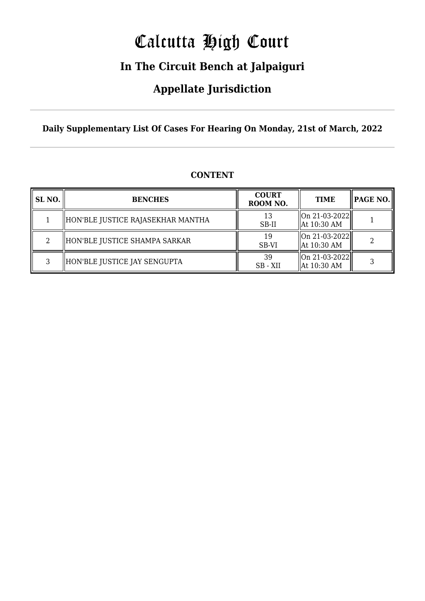# Calcutta High Court

### **In The Circuit Bench at Jalpaiguri**

### **Appellate Jurisdiction**

**Daily Supplementary List Of Cases For Hearing On Monday, 21st of March, 2022**

| SL <sub>NO.</sub> | <b>BENCHES</b>                    | <b>COURT</b><br>ROOM NO. | <b>TIME</b>                                                             |  |
|-------------------|-----------------------------------|--------------------------|-------------------------------------------------------------------------|--|
|                   | HON'BLE JUSTICE RAJASEKHAR MANTHA | 13<br>SB-II              | $\left\  \text{On } 21 - 03 - 2022 \right\ $<br>$\parallel$ At 10:30 AM |  |
| 2                 | HON'BLE JUSTICE SHAMPA SARKAR     | 19<br>SB-VI              | $\ $ On 21-03-2022 $\ $<br>$\parallel$ At 10:30 AM                      |  |
| 3                 | HON'BLE JUSTICE JAY SENGUPTA      | 39<br>SB - XII           | $\ $ On 21-03-2022 $\ $<br>$\parallel$ At 10:30 AM                      |  |

#### **CONTENT**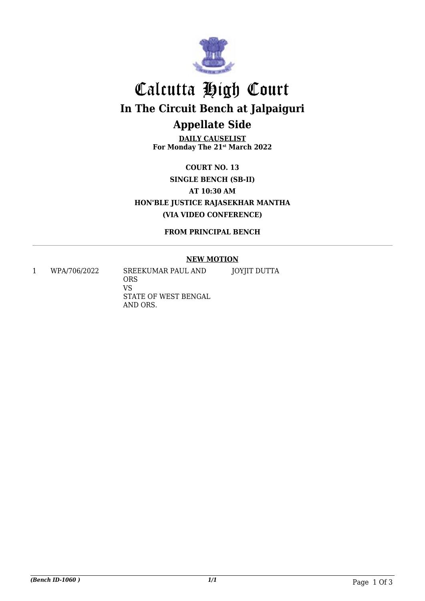

## Calcutta High Court **In The Circuit Bench at Jalpaiguri Appellate Side**

**DAILY CAUSELIST For Monday The 21st March 2022**

**COURT NO. 13 SINGLE BENCH (SB-II) AT 10:30 AM HON'BLE JUSTICE RAJASEKHAR MANTHA (VIA VIDEO CONFERENCE)**

**FROM PRINCIPAL BENCH**

#### **NEW MOTION**

1 WPA/706/2022 SREEKUMAR PAUL AND

ORS VS STATE OF WEST BENGAL AND ORS. JOYJIT DUTTA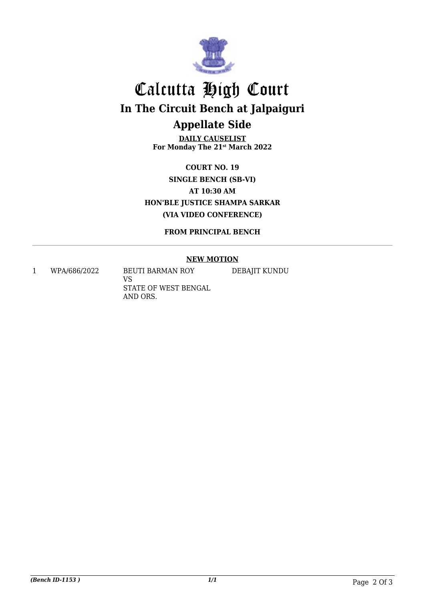

## Calcutta High Court **In The Circuit Bench at Jalpaiguri Appellate Side**

**DAILY CAUSELIST For Monday The 21st March 2022**

**COURT NO. 19 SINGLE BENCH (SB-VI) AT 10:30 AM HON'BLE JUSTICE SHAMPA SARKAR (VIA VIDEO CONFERENCE)**

**FROM PRINCIPAL BENCH**

#### **NEW MOTION**

1 WPA/686/2022 BEUTI BARMAN ROY

VS STATE OF WEST BENGAL AND ORS.

DEBAJIT KUNDU